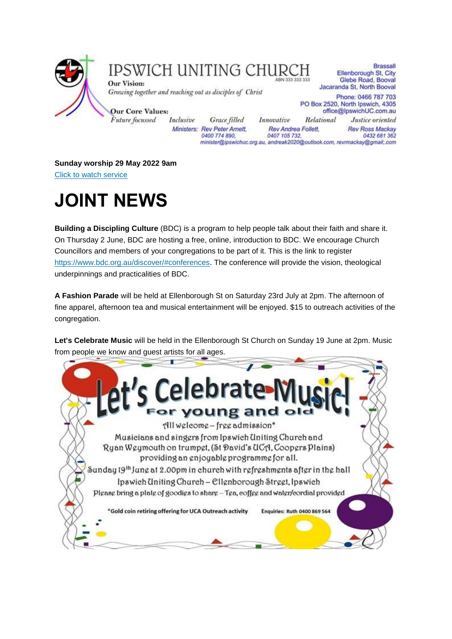

### IPSWICH UNITING CHURCH

Ministers: Rev Peter Amett,

0400 774 890,

**Our Vision:** Growing together and reaching out as disciples of Christ

**Our Core Values:** Future focussed Inclusive

**Brassall** Ellenborough St, City Glebe Road, Booval Jacaranda St, North Booval Phone: 0466 787 703 PO Box 2520, North Ipswich, 4305

Grace filled Innovative

office@lpswichUC.com.au Relational Justice oriented **Rev Ross Mackay** 

Rev Andrea Follett, 0407 105 732 0432 681 362 minister@ipswichuc.org.au, andreak2020@outlook.com, revrmackay@gmail;.com

**Sunday worship 29 May 2022 9am** [Click to watch service](https://youtu.be/OuN1tsPRrDY)

# **JOINT NEWS**

**Building a Discipling Culture** (BDC) is a program to help people talk about their faith and share it. On Thursday 2 June, BDC are hosting a free, online, introduction to BDC. We encourage Church Councillors and members of your congregations to be part of it. This is the link to register [https://www.bdc.org.au/discover/#conferences.](https://www.bdc.org.au/discover/#conferences) The conference will provide the vision, theological underpinnings and practicalities of BDC.

**A Fashion Parade** will be held at Ellenborough St on Saturday 23rd July at 2pm. The afternoon of fine apparel, afternoon tea and musical entertainment will be enjoyed. \$15 to outreach activities of the congregation.

**Let's Celebrate Music** will be held in the Ellenborough St Church on Sunday 19 June at 2pm. Music from people we know and guest artists for all ages.

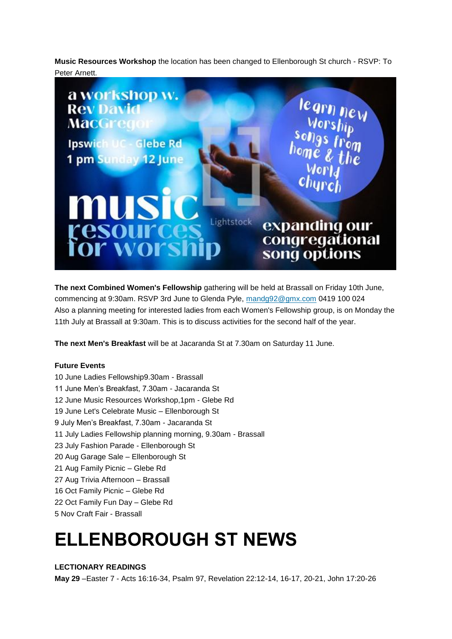**Music Resources Workshop** the location has been changed to Ellenborough St church - RSVP: To Peter Arnett.



**The next Combined Women's Fellowship** gathering will be held at Brassall on Friday 10th June, commencing at 9:30am. RSVP 3rd June to Glenda Pyle, [mandg92@gmx.com](mailto:mandg92@gmx.com) 0419 100 024 Also a planning meeting for interested ladies from each Women's Fellowship group, is on Monday the 11th July at Brassall at 9:30am. This is to discuss activities for the second half of the year.

**The next Men's Breakfast** will be at Jacaranda St at 7.30am on Saturday 11 June.

#### **Future Events**

10 June Ladies Fellowship9.30am - Brassall 11 June Men's Breakfast, 7.30am - Jacaranda St 12 June Music Resources Workshop,1pm - Glebe Rd 19 June Let's Celebrate Music – Ellenborough St 9 July Men's Breakfast, 7.30am - Jacaranda St 11 July Ladies Fellowship planning morning, 9.30am - Brassall 23 July Fashion Parade - Ellenborough St 20 Aug Garage Sale – Ellenborough St 21 Aug Family Picnic – Glebe Rd 27 Aug Trivia Afternoon – Brassall 16 Oct Family Picnic – Glebe Rd 22 Oct Family Fun Day – Glebe Rd 5 Nov Craft Fair - Brassall

## **ELLENBOROUGH ST NEWS**

#### **LECTIONARY READINGS**

**May 29** –Easter 7 - Acts 16:16-34, Psalm 97, Revelation 22:12-14, 16-17, 20-21, John 17:20-26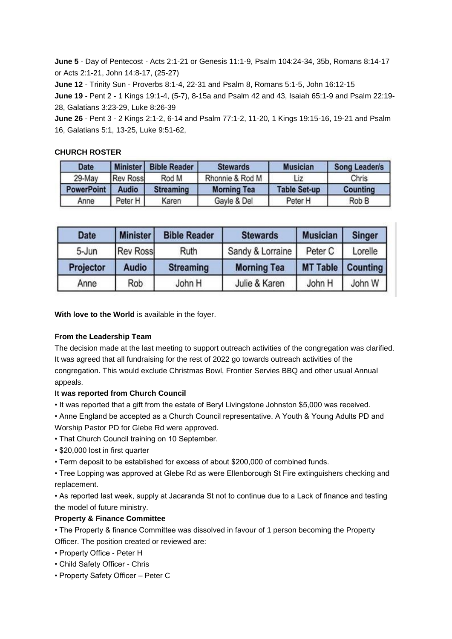**June 5** - Day of Pentecost - Acts 2:1-21 or Genesis 11:1-9, Psalm 104:24-34, 35b, Romans 8:14-17 or Acts 2:1-21, John 14:8-17, (25-27)

**June 12** - Trinity Sun - Proverbs 8:1-4, 22-31 and Psalm 8, Romans 5:1-5, John 16:12-15

**June 19** - Pent 2 - 1 Kings 19:1-4, (5-7), 8-15a and Psalm 42 and 43, Isaiah 65:1-9 and Psalm 22:19- 28, Galatians 3:23-29, Luke 8:26-39

**June 26** - Pent 3 - 2 Kings 2:1-2, 6-14 and Psalm 77:1-2, 11-20, 1 Kings 19:15-16, 19-21 and Psalm 16, Galatians 5:1, 13-25, Luke 9:51-62,

#### **CHURCH ROSTER**

| <b>Date</b>       | Minister        | <b>Bible Reader</b> | <b>Stewards</b>    | <b>Musician</b>     | <b>Song Leader/s</b> |
|-------------------|-----------------|---------------------|--------------------|---------------------|----------------------|
| 29-May            | <b>Rev Ross</b> | Rod M               | Rhonnie & Rod M    | Liz                 | Chris                |
| <b>PowerPoint</b> | <b>Audio</b>    | <b>Streaming</b>    | <b>Morning Tea</b> | <b>Table Set-up</b> | <b>Counting</b>      |
| Anne              | Peter H         | Karen               | Gayle & Del        | Peter H             | Rob B                |

| <b>Date</b> | <b>Minister</b> | <b>Bible Reader</b> | <b>Stewards</b>    | <b>Musician</b>            | <b>Singer</b> |
|-------------|-----------------|---------------------|--------------------|----------------------------|---------------|
| 5-Jun       | <b>Rev Ross</b> | Ruth                | Sandy & Lorraine   | Peter C                    | Lorelle       |
| Projector   | <b>Audio</b>    | <b>Streaming</b>    | <b>Morning Tea</b> | <b>MT Table   Counting</b> |               |
| Anne        | Rob             | John H              | Julie & Karen      | John H                     | John W        |

**With love to the World** is available in the foyer.

#### **From the Leadership Team**

The decision made at the last meeting to support outreach activities of the congregation was clarified. It was agreed that all fundraising for the rest of 2022 go towards outreach activities of the congregation. This would exclude Christmas Bowl, Frontier Servies BBQ and other usual Annual appeals.

#### **It was reported from Church Council**

• It was reported that a gift from the estate of Beryl Livingstone Johnston \$5,000 was received.

• Anne England be accepted as a Church Council representative. A Youth & Young Adults PD and Worship Pastor PD for Glebe Rd were approved.

- That Church Council training on 10 September.
- \$20,000 lost in first quarter

• Term deposit to be established for excess of about \$200,000 of combined funds.

• Tree Lopping was approved at Glebe Rd as were Ellenborough St Fire extinguishers checking and replacement.

• As reported last week, supply at Jacaranda St not to continue due to a Lack of finance and testing the model of future ministry.

#### **Property & Finance Committee**

• The Property & finance Committee was dissolved in favour of 1 person becoming the Property Officer. The position created or reviewed are:

- Property Office Peter H
- Child Safety Officer Chris
- Property Safety Officer Peter C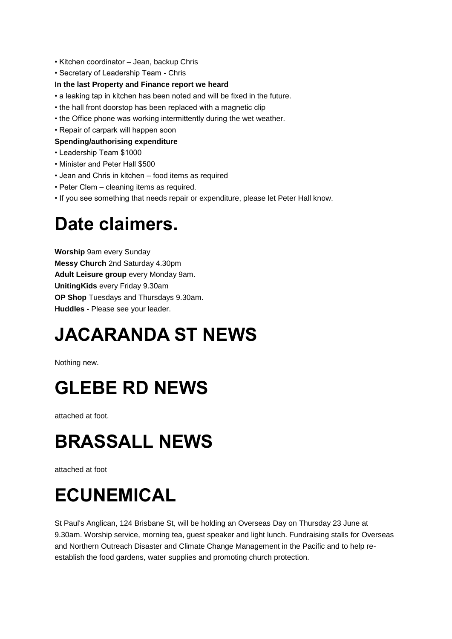- Kitchen coordinator Jean, backup Chris
- Secretary of Leadership Team Chris

#### **In the last Property and Finance report we heard**

- a leaking tap in kitchen has been noted and will be fixed in the future.
- the hall front doorstop has been replaced with a magnetic clip
- the Office phone was working intermittently during the wet weather.
- Repair of carpark will happen soon

#### **Spending/authorising expenditure**

- Leadership Team \$1000
- Minister and Peter Hall \$500
- Jean and Chris in kitchen food items as required
- Peter Clem cleaning items as required.
- If you see something that needs repair or expenditure, please let Peter Hall know.

### **Date claimers.**

**Worship** 9am every Sunday **Messy Church** 2nd Saturday 4.30pm **Adult Leisure group** every Monday 9am. **UnitingKids** every Friday 9.30am **OP Shop** Tuesdays and Thursdays 9.30am. **Huddles** - Please see your leader.

# **JACARANDA ST NEWS**

Nothing new.

### **GLEBE RD NEWS**

attached at foot.

## **BRASSALL NEWS**

attached at foot

# **ECUNEMICAL**

St Paul's Anglican, 124 Brisbane St, will be holding an Overseas Day on Thursday 23 June at 9.30am. Worship service, morning tea, guest speaker and light lunch. Fundraising stalls for Overseas and Northern Outreach Disaster and Climate Change Management in the Pacific and to help reestablish the food gardens, water supplies and promoting church protection.